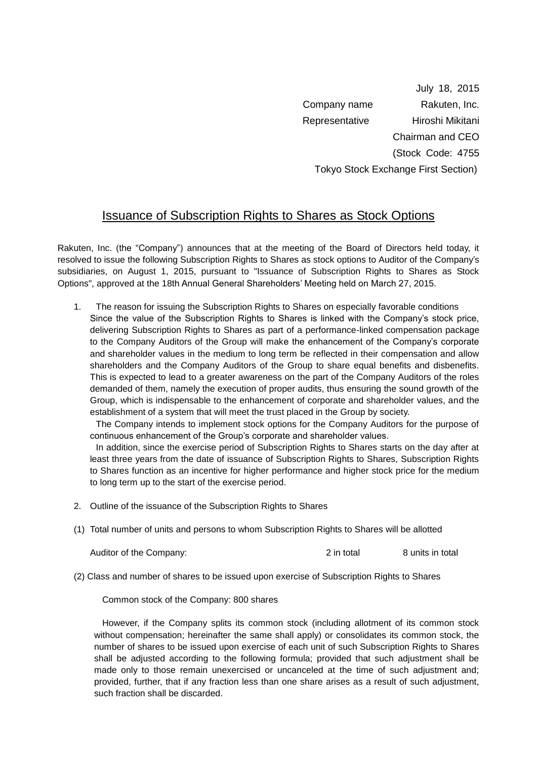July 18, 2015 Company name Rakuten, Inc. Representative Hiroshi Mikitani Chairman and CEO (Stock Code: 4755 Tokyo Stock Exchange First Section)

## Issuance of Subscription Rights to Shares as Stock Options

Rakuten, Inc. (the "Company") announces that at the meeting of the Board of Directors held today, it resolved to issue the following Subscription Rights to Shares as stock options to Auditor of the Company's subsidiaries, on August 1, 2015, pursuant to "Issuance of Subscription Rights to Shares as Stock Options", approved at the 18th Annual General Shareholders' Meeting held on March 27, 2015.

1. The reason for issuing the Subscription Rights to Shares on especially favorable conditions Since the value of the Subscription Rights to Shares is linked with the Company's stock price, delivering Subscription Rights to Shares as part of a performance-linked compensation package to the Company Auditors of the Group will make the enhancement of the Company's corporate and shareholder values in the medium to long term be reflected in their compensation and allow shareholders and the Company Auditors of the Group to share equal benefits and disbenefits. This is expected to lead to a greater awareness on the part of the Company Auditors of the roles demanded of them, namely the execution of proper audits, thus ensuring the sound growth of the Group, which is indispensable to the enhancement of corporate and shareholder values, and the establishment of a system that will meet the trust placed in the Group by society.

The Company intends to implement stock options for the Company Auditors for the purpose of continuous enhancement of the Group's corporate and shareholder values.

In addition, since the exercise period of Subscription Rights to Shares starts on the day after at least three years from the date of issuance of Subscription Rights to Shares, Subscription Rights to Shares function as an incentive for higher performance and higher stock price for the medium to long term up to the start of the exercise period.

- 2. Outline of the issuance of the Subscription Rights to Shares
- (1) Total number of units and persons to whom Subscription Rights to Shares will be allotted

Auditor of the Company:  $2 \text{ in total}$  8 units in total

(2) Class and number of shares to be issued upon exercise of Subscription Rights to Shares

Common stock of the Company: 800 shares

However, if the Company splits its common stock (including allotment of its common stock without compensation; hereinafter the same shall apply) or consolidates its common stock, the number of shares to be issued upon exercise of each unit of such Subscription Rights to Shares shall be adjusted according to the following formula; provided that such adjustment shall be made only to those remain unexercised or uncanceled at the time of such adjustment and; provided, further, that if any fraction less than one share arises as a result of such adjustment, such fraction shall be discarded.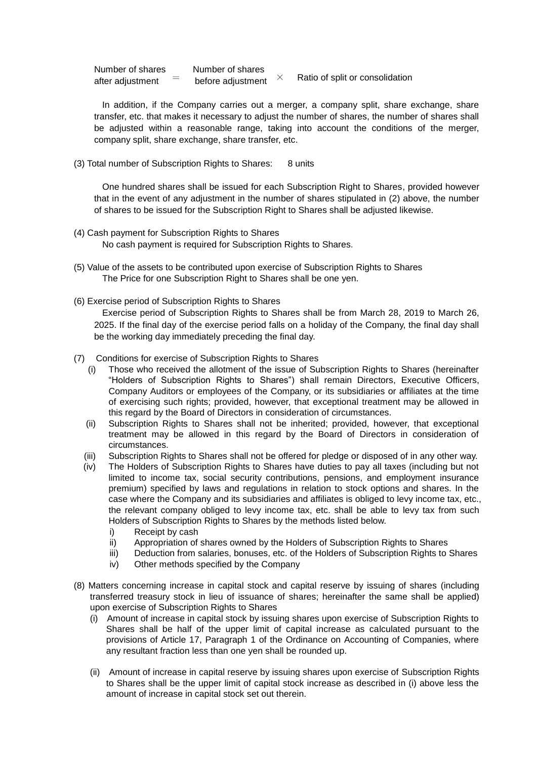| Number of shares | Number of shares  |  | Ratio of split or consolidation |
|------------------|-------------------|--|---------------------------------|
| after adjustment | before adjustment |  |                                 |

In addition, if the Company carries out a merger, a company split, share exchange, share transfer, etc. that makes it necessary to adjust the number of shares, the number of shares shall be adjusted within a reasonable range, taking into account the conditions of the merger, company split, share exchange, share transfer, etc.

(3) Total number of Subscription Rights to Shares: 8 units

One hundred shares shall be issued for each Subscription Right to Shares, provided however that in the event of any adjustment in the number of shares stipulated in (2) above, the number of shares to be issued for the Subscription Right to Shares shall be adjusted likewise.

- (4) Cash payment for Subscription Rights to Shares No cash payment is required for Subscription Rights to Shares.
- (5) Value of the assets to be contributed upon exercise of Subscription Rights to Shares The Price for one Subscription Right to Shares shall be one yen.
- (6) Exercise period of Subscription Rights to Shares

Exercise period of Subscription Rights to Shares shall be from March 28, 2019 to March 26, 2025. If the final day of the exercise period falls on a holiday of the Company, the final day shall be the working day immediately preceding the final day.

- (7) Conditions for exercise of Subscription Rights to Shares
	- (i) Those who received the allotment of the issue of Subscription Rights to Shares (hereinafter "Holders of Subscription Rights to Shares") shall remain Directors, Executive Officers, Company Auditors or employees of the Company, or its subsidiaries or affiliates at the time of exercising such rights; provided, however, that exceptional treatment may be allowed in this regard by the Board of Directors in consideration of circumstances.
	- (ii) Subscription Rights to Shares shall not be inherited; provided, however, that exceptional treatment may be allowed in this regard by the Board of Directors in consideration of circumstances.
	- (iii) Subscription Rights to Shares shall not be offered for pledge or disposed of in any other way.
	- (iv) The Holders of Subscription Rights to Shares have duties to pay all taxes (including but not limited to income tax, social security contributions, pensions, and employment insurance premium) specified by laws and regulations in relation to stock options and shares. In the case where the Company and its subsidiaries and affiliates is obliged to levy income tax, etc., the relevant company obliged to levy income tax, etc. shall be able to levy tax from such Holders of Subscription Rights to Shares by the methods listed below.
		- i) Receipt by cash
		- ii) Appropriation of shares owned by the Holders of Subscription Rights to Shares
		- iii) Deduction from salaries, bonuses, etc. of the Holders of Subscription Rights to Shares
		- iv) Other methods specified by the Company
- (8) Matters concerning increase in capital stock and capital reserve by issuing of shares (including transferred treasury stock in lieu of issuance of shares; hereinafter the same shall be applied) upon exercise of Subscription Rights to Shares
	- (i) Amount of increase in capital stock by issuing shares upon exercise of Subscription Rights to Shares shall be half of the upper limit of capital increase as calculated pursuant to the provisions of Article 17, Paragraph 1 of the Ordinance on Accounting of Companies, where any resultant fraction less than one yen shall be rounded up.
	- (ii) Amount of increase in capital reserve by issuing shares upon exercise of Subscription Rights to Shares shall be the upper limit of capital stock increase as described in (i) above less the amount of increase in capital stock set out therein.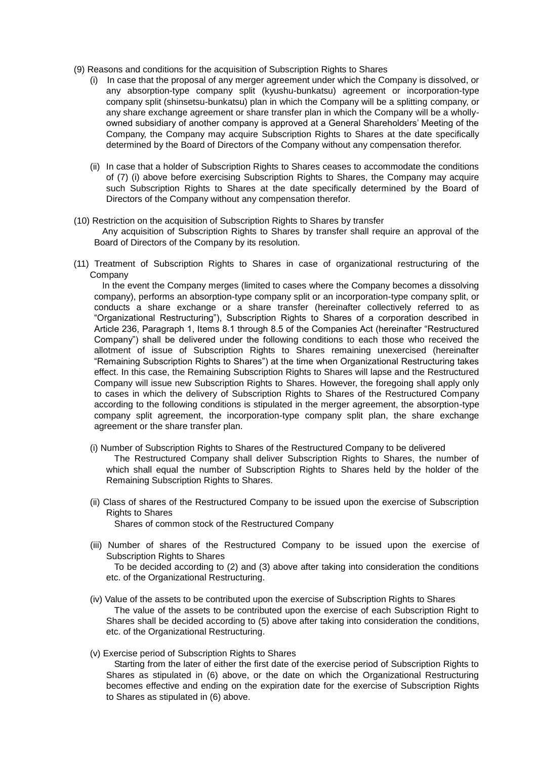- (9) Reasons and conditions for the acquisition of Subscription Rights to Shares
	- (i) In case that the proposal of any merger agreement under which the Company is dissolved, or any absorption-type company split (kyushu-bunkatsu) agreement or incorporation-type company split (shinsetsu-bunkatsu) plan in which the Company will be a splitting company, or any share exchange agreement or share transfer plan in which the Company will be a whollyowned subsidiary of another company is approved at a General Shareholders' Meeting of the Company, the Company may acquire Subscription Rights to Shares at the date specifically determined by the Board of Directors of the Company without any compensation therefor.
	- (ii) In case that a holder of Subscription Rights to Shares ceases to accommodate the conditions of (7) (i) above before exercising Subscription Rights to Shares, the Company may acquire such Subscription Rights to Shares at the date specifically determined by the Board of Directors of the Company without any compensation therefor.
- (10) Restriction on the acquisition of Subscription Rights to Shares by transfer Any acquisition of Subscription Rights to Shares by transfer shall require an approval of the Board of Directors of the Company by its resolution.
- (11) Treatment of Subscription Rights to Shares in case of organizational restructuring of the **Company**

In the event the Company merges (limited to cases where the Company becomes a dissolving company), performs an absorption-type company split or an incorporation-type company split, or conducts a share exchange or a share transfer (hereinafter collectively referred to as "Organizational Restructuring"), Subscription Rights to Shares of a corporation described in Article 236, Paragraph 1, Items 8.1 through 8.5 of the Companies Act (hereinafter "Restructured Company") shall be delivered under the following conditions to each those who received the allotment of issue of Subscription Rights to Shares remaining unexercised (hereinafter "Remaining Subscription Rights to Shares") at the time when Organizational Restructuring takes effect. In this case, the Remaining Subscription Rights to Shares will lapse and the Restructured Company will issue new Subscription Rights to Shares. However, the foregoing shall apply only to cases in which the delivery of Subscription Rights to Shares of the Restructured Company according to the following conditions is stipulated in the merger agreement, the absorption-type company split agreement, the incorporation-type company split plan, the share exchange agreement or the share transfer plan.

- (i) Number of Subscription Rights to Shares of the Restructured Company to be delivered The Restructured Company shall deliver Subscription Rights to Shares, the number of which shall equal the number of Subscription Rights to Shares held by the holder of the Remaining Subscription Rights to Shares.
- (ii) Class of shares of the Restructured Company to be issued upon the exercise of Subscription Rights to Shares Shares of common stock of the Restructured Company
- (iii) Number of shares of the Restructured Company to be issued upon the exercise of Subscription Rights to Shares To be decided according to (2) and (3) above after taking into consideration the conditions etc. of the Organizational Restructuring.
- (iv) Value of the assets to be contributed upon the exercise of Subscription Rights to Shares The value of the assets to be contributed upon the exercise of each Subscription Right to Shares shall be decided according to (5) above after taking into consideration the conditions, etc. of the Organizational Restructuring.
- (v) Exercise period of Subscription Rights to Shares

Starting from the later of either the first date of the exercise period of Subscription Rights to Shares as stipulated in (6) above, or the date on which the Organizational Restructuring becomes effective and ending on the expiration date for the exercise of Subscription Rights to Shares as stipulated in (6) above.